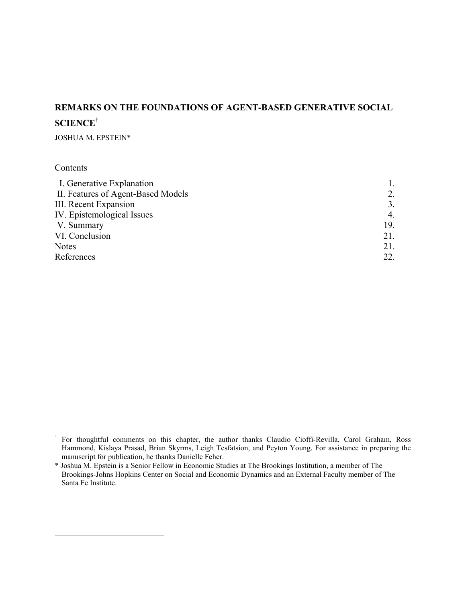# **REMARKS ON THE FOUNDATIONS OF AGENT-BASED GENERATIVE SOCIAL SCIENCE†**

JOSHUA M. EPSTEIN\*

# Contents

-

| I. Generative Explanation          |     |
|------------------------------------|-----|
| II. Features of Agent-Based Models | 2.  |
| III. Recent Expansion              | 3.  |
| <b>IV.</b> Epistemological Issues  | 4.  |
| V. Summary                         | 19. |
| VI. Conclusion                     | 21. |
| Notes                              | 21. |
| References                         | 22. |
|                                    |     |

<sup>†</sup> For thoughtful comments on this chapter, the author thanks Claudio Cioffi-Revilla, Carol Graham, Ross Hammond, Kislaya Prasad, Brian Skyrms, Leigh Tesfatsion, and Peyton Young. For assistance in preparing the manuscript for publication, he thanks Danielle Feher.

<sup>\*</sup> Joshua M. Epstein is a Senior Fellow in Economic Studies at The Brookings Institution, a member of The Brookings-Johns Hopkins Center on Social and Economic Dynamics and an External Faculty member of The Santa Fe Institute.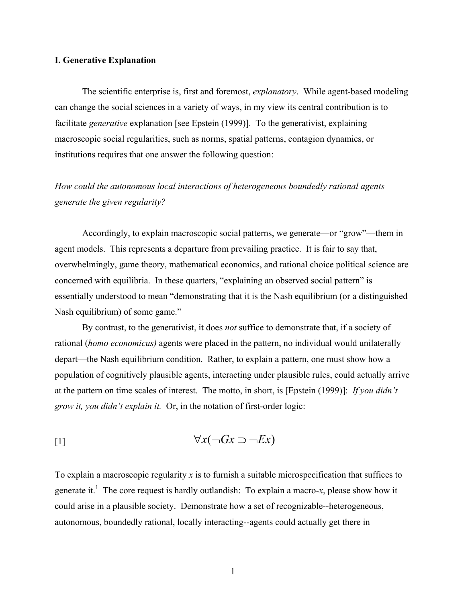### **I. Generative Explanation**

The scientific enterprise is, first and foremost, *explanatory*. While agent-based modeling can change the social sciences in a variety of ways, in my view its central contribution is to facilitate *generative* explanation [see Epstein (1999)]. To the generativist, explaining macroscopic social regularities, such as norms, spatial patterns, contagion dynamics, or institutions requires that one answer the following question:

*How could the autonomous local interactions of heterogeneous boundedly rational agents generate the given regularity?*

Accordingly, to explain macroscopic social patterns, we generate—or "grow"—them in agent models. This represents a departure from prevailing practice. It is fair to say that, overwhelmingly, game theory, mathematical economics, and rational choice political science are concerned with equilibria. In these quarters, "explaining an observed social pattern" is essentially understood to mean "demonstrating that it is the Nash equilibrium (or a distinguished Nash equilibrium) of some game."

By contrast, to the generativist, it does *not* suffice to demonstrate that, if a society of rational (*homo economicus)* agents were placed in the pattern, no individual would unilaterally depart—the Nash equilibrium condition. Rather, to explain a pattern, one must show how a population of cognitively plausible agents, interacting under plausible rules, could actually arrive at the pattern on time scales of interest. The motto, in short, is [Epstein (1999)]: *If you didn't grow it, you didn't explain it.* Or, in the notation of first-order logic:

$$
[1] \qquad \qquad \forall x (\neg Gx \supset \neg Ex)
$$

To explain a macroscopic regularity *x* is to furnish a suitable microspecification that suffices to generate it.<sup>1</sup> The core request is hardly outlandish: To explain a macro-*x*, please show how it could arise in a plausible society. Demonstrate how a set of recognizable--heterogeneous, autonomous, boundedly rational, locally interacting--agents could actually get there in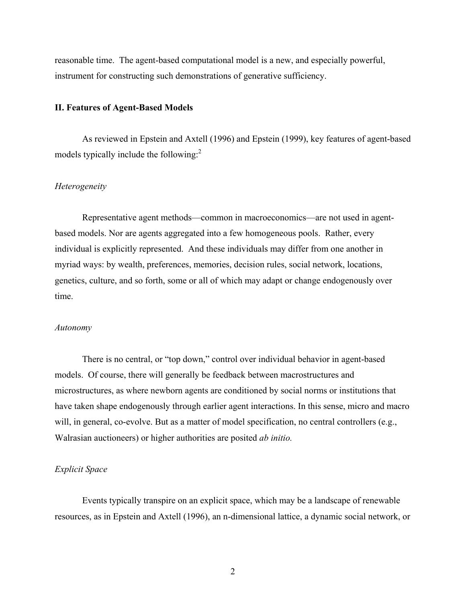reasonable time. The agent-based computational model is a new, and especially powerful, instrument for constructing such demonstrations of generative sufficiency.

### **II. Features of Agent-Based Models**

As reviewed in Epstein and Axtell (1996) and Epstein (1999), key features of agent-based models typically include the following:<sup>2</sup>

### *Heterogeneity*

Representative agent methods—common in macroeconomics—are not used in agentbased models. Nor are agents aggregated into a few homogeneous pools. Rather, every individual is explicitly represented. And these individuals may differ from one another in myriad ways: by wealth, preferences, memories, decision rules, social network, locations, genetics, culture, and so forth, some or all of which may adapt or change endogenously over time.

### *Autonomy*

There is no central, or "top down," control over individual behavior in agent-based models. Of course, there will generally be feedback between macrostructures and microstructures, as where newborn agents are conditioned by social norms or institutions that have taken shape endogenously through earlier agent interactions. In this sense, micro and macro will, in general, co-evolve. But as a matter of model specification, no central controllers (e.g., Walrasian auctioneers) or higher authorities are posited *ab initio.*

# *Explicit Space*

Events typically transpire on an explicit space, which may be a landscape of renewable resources, as in Epstein and Axtell (1996), an n-dimensional lattice, a dynamic social network, or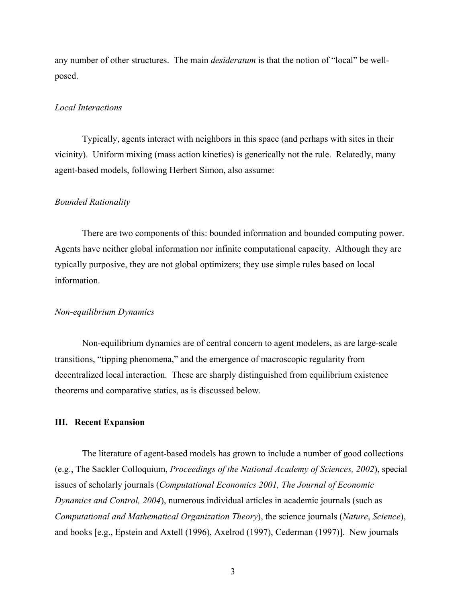any number of other structures. The main *desideratum* is that the notion of "local" be wellposed.

# *Local Interactions*

Typically, agents interact with neighbors in this space (and perhaps with sites in their vicinity). Uniform mixing (mass action kinetics) is generically not the rule. Relatedly, many agent-based models, following Herbert Simon, also assume:

### *Bounded Rationality*

There are two components of this: bounded information and bounded computing power. Agents have neither global information nor infinite computational capacity. Although they are typically purposive, they are not global optimizers; they use simple rules based on local information.

### *Non-equilibrium Dynamics*

Non-equilibrium dynamics are of central concern to agent modelers, as are large-scale transitions, "tipping phenomena," and the emergence of macroscopic regularity from decentralized local interaction. These are sharply distinguished from equilibrium existence theorems and comparative statics, as is discussed below.

# **III. Recent Expansion**

The literature of agent-based models has grown to include a number of good collections (e.g., The Sackler Colloquium, *Proceedings of the National Academy of Sciences, 2002*), special issues of scholarly journals (*Computational Economics 2001, The Journal of Economic Dynamics and Control, 2004*), numerous individual articles in academic journals (such as *Computational and Mathematical Organization Theory*), the science journals (*Nature*, *Science*), and books [e.g., Epstein and Axtell (1996), Axelrod (1997), Cederman (1997)]. New journals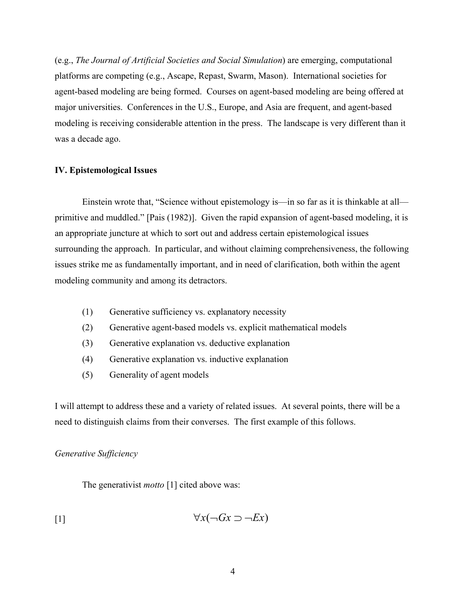(e.g., *The Journal of Artificial Societies and Social Simulation*) are emerging, computational platforms are competing (e.g., Ascape, Repast, Swarm, Mason). International societies for agent-based modeling are being formed. Courses on agent-based modeling are being offered at major universities. Conferences in the U.S., Europe, and Asia are frequent, and agent-based modeling is receiving considerable attention in the press. The landscape is very different than it was a decade ago.

# **IV. Epistemological Issues**

Einstein wrote that, "Science without epistemology is—in so far as it is thinkable at all primitive and muddled." [Pais (1982)]. Given the rapid expansion of agent-based modeling, it is an appropriate juncture at which to sort out and address certain epistemological issues surrounding the approach. In particular, and without claiming comprehensiveness, the following issues strike me as fundamentally important, and in need of clarification, both within the agent modeling community and among its detractors.

- (1) Generative sufficiency vs. explanatory necessity
- (2) Generative agent-based models vs. explicit mathematical models
- (3) Generative explanation vs. deductive explanation
- (4) Generative explanation vs. inductive explanation
- (5) Generality of agent models

I will attempt to address these and a variety of related issues. At several points, there will be a need to distinguish claims from their converses. The first example of this follows.

### *Generative Sufficiency*

The generativist *motto* [1] cited above was:

$$
[1] \qquad \qquad \forall x (\neg Gx \supset \neg Ex)
$$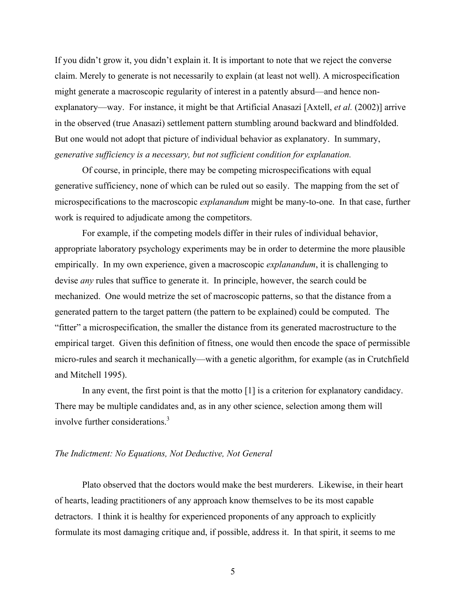If you didn't grow it, you didn't explain it. It is important to note that we reject the converse claim. Merely to generate is not necessarily to explain (at least not well). A microspecification might generate a macroscopic regularity of interest in a patently absurd—and hence nonexplanatory—way. For instance, it might be that Artificial Anasazi [Axtell, *et al.* (2002)] arrive in the observed (true Anasazi) settlement pattern stumbling around backward and blindfolded. But one would not adopt that picture of individual behavior as explanatory. In summary, *generative sufficiency is a necessary, but not sufficient condition for explanation.*

Of course, in principle, there may be competing microspecifications with equal generative sufficiency, none of which can be ruled out so easily. The mapping from the set of microspecifications to the macroscopic *explanandum* might be many-to-one. In that case, further work is required to adjudicate among the competitors.

For example, if the competing models differ in their rules of individual behavior, appropriate laboratory psychology experiments may be in order to determine the more plausible empirically. In my own experience, given a macroscopic *explanandum*, it is challenging to devise *any* rules that suffice to generate it. In principle, however, the search could be mechanized. One would metrize the set of macroscopic patterns, so that the distance from a generated pattern to the target pattern (the pattern to be explained) could be computed. The "fitter" a microspecification, the smaller the distance from its generated macrostructure to the empirical target. Given this definition of fitness, one would then encode the space of permissible micro-rules and search it mechanically—with a genetic algorithm, for example (as in Crutchfield and Mitchell 1995).

In any event, the first point is that the motto [1] is a criterion for explanatory candidacy. There may be multiple candidates and, as in any other science, selection among them will involve further considerations.3

### *The Indictment: No Equations, Not Deductive, Not General*

Plato observed that the doctors would make the best murderers. Likewise, in their heart of hearts, leading practitioners of any approach know themselves to be its most capable detractors. I think it is healthy for experienced proponents of any approach to explicitly formulate its most damaging critique and, if possible, address it. In that spirit, it seems to me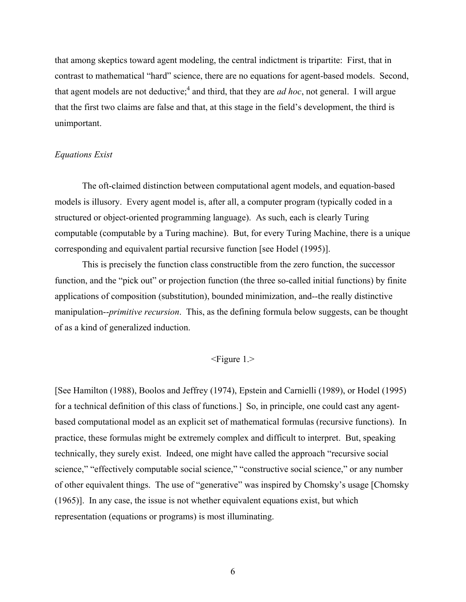that among skeptics toward agent modeling, the central indictment is tripartite: First, that in contrast to mathematical "hard" science, there are no equations for agent-based models. Second, that agent models are not deductive;<sup>4</sup> and third, that they are *ad hoc*, not general. I will argue that the first two claims are false and that, at this stage in the field's development, the third is unimportant.

# *Equations Exist*

The oft-claimed distinction between computational agent models, and equation-based models is illusory. Every agent model is, after all, a computer program (typically coded in a structured or object-oriented programming language). As such, each is clearly Turing computable (computable by a Turing machine). But, for every Turing Machine, there is a unique corresponding and equivalent partial recursive function [see Hodel (1995)].

This is precisely the function class constructible from the zero function, the successor function, and the "pick out" or projection function (the three so-called initial functions) by finite applications of composition (substitution), bounded minimization, and--the really distinctive manipulation--*primitive recursion*. This, as the defining formula below suggests, can be thought of as a kind of generalized induction.

# <Figure 1.>

[See Hamilton (1988), Boolos and Jeffrey (1974), Epstein and Carnielli (1989), or Hodel (1995) for a technical definition of this class of functions.] So, in principle, one could cast any agentbased computational model as an explicit set of mathematical formulas (recursive functions). In practice, these formulas might be extremely complex and difficult to interpret. But, speaking technically, they surely exist. Indeed, one might have called the approach "recursive social science," "effectively computable social science," "constructive social science," or any number of other equivalent things. The use of "generative" was inspired by Chomsky's usage [Chomsky (1965)]. In any case, the issue is not whether equivalent equations exist, but which representation (equations or programs) is most illuminating.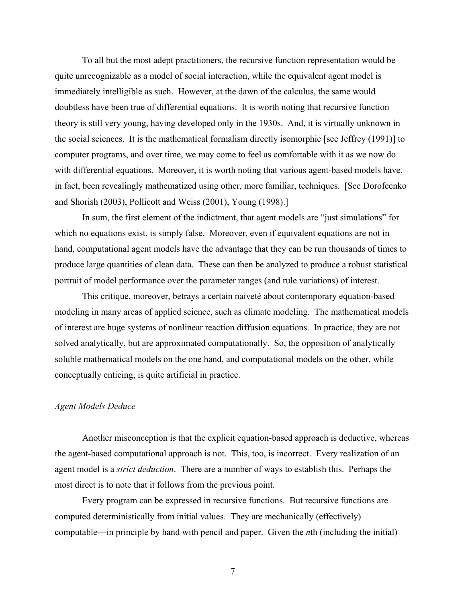To all but the most adept practitioners, the recursive function representation would be quite unrecognizable as a model of social interaction, while the equivalent agent model is immediately intelligible as such. However, at the dawn of the calculus, the same would doubtless have been true of differential equations. It is worth noting that recursive function theory is still very young, having developed only in the 1930s. And, it is virtually unknown in the social sciences. It is the mathematical formalism directly isomorphic [see Jeffrey (1991)] to computer programs, and over time, we may come to feel as comfortable with it as we now do with differential equations. Moreover, it is worth noting that various agent-based models have, in fact, been revealingly mathematized using other, more familiar, techniques. [See Dorofeenko and Shorish (2003), Pollicott and Weiss (2001), Young (1998).]

In sum, the first element of the indictment, that agent models are "just simulations" for which no equations exist, is simply false. Moreover, even if equivalent equations are not in hand, computational agent models have the advantage that they can be run thousands of times to produce large quantities of clean data. These can then be analyzed to produce a robust statistical portrait of model performance over the parameter ranges (and rule variations) of interest.

This critique, moreover, betrays a certain naiveté about contemporary equation-based modeling in many areas of applied science, such as climate modeling. The mathematical models of interest are huge systems of nonlinear reaction diffusion equations. In practice, they are not solved analytically, but are approximated computationally. So, the opposition of analytically soluble mathematical models on the one hand, and computational models on the other, while conceptually enticing, is quite artificial in practice.

# *Agent Models Deduce*

Another misconception is that the explicit equation-based approach is deductive, whereas the agent-based computational approach is not. This, too, is incorrect. Every realization of an agent model is a *strict deduction*. There are a number of ways to establish this. Perhaps the most direct is to note that it follows from the previous point.

Every program can be expressed in recursive functions. But recursive functions are computed deterministically from initial values. They are mechanically (effectively) computable—in principle by hand with pencil and paper. Given the *n*th (including the initial)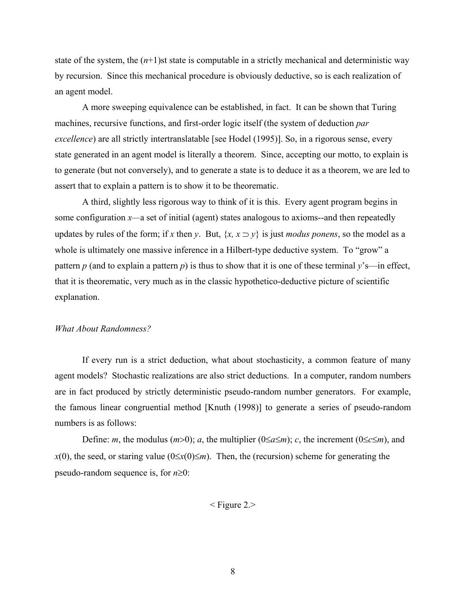state of the system, the  $(n+1)$ st state is computable in a strictly mechanical and deterministic way by recursion. Since this mechanical procedure is obviously deductive, so is each realization of an agent model.

A more sweeping equivalence can be established, in fact. It can be shown that Turing machines, recursive functions, and first-order logic itself (the system of deduction *par excellence*) are all strictly intertranslatable [see Hodel (1995)]. So, in a rigorous sense, every state generated in an agent model is literally a theorem. Since, accepting our motto, to explain is to generate (but not conversely), and to generate a state is to deduce it as a theorem, we are led to assert that to explain a pattern is to show it to be theorematic.

A third, slightly less rigorous way to think of it is this. Every agent program begins in some configuration *x—*a set of initial (agent) states analogous to axioms--and then repeatedly updates by rules of the form; if *x* then *y*. But,  $\{x, x \supset y\}$  is just *modus ponens*, so the model as a whole is ultimately one massive inference in a Hilbert-type deductive system. To "grow" a pattern  $p$  (and to explain a pattern  $p$ ) is thus to show that it is one of these terminal  $y$ 's—in effect, that it is theorematic, very much as in the classic hypothetico-deductive picture of scientific explanation.

# *What About Randomness?*

If every run is a strict deduction, what about stochasticity, a common feature of many agent models? Stochastic realizations are also strict deductions. In a computer, random numbers are in fact produced by strictly deterministic pseudo-random number generators. For example, the famous linear congruential method [Knuth (1998)] to generate a series of pseudo-random numbers is as follows:

Define: *m*, the modulus (*m*>0); *a*, the multiplier (0≤*a*≤*m*); *c*, the increment (0≤*c*≤*m*), and *x*(0), the seed, or staring value (0≤*x*(0)≤*m*). Then, the (recursion) scheme for generating the pseudo-random sequence is, for *n*≥0:

 $\leq$  Figure 2. $>$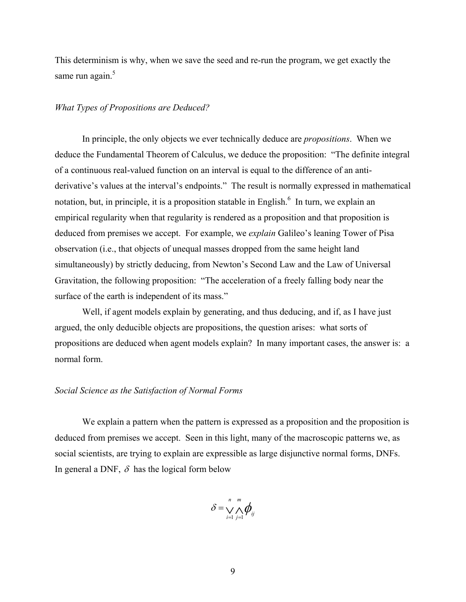This determinism is why, when we save the seed and re-run the program, we get exactly the same run again. $5$ 

# *What Types of Propositions are Deduced?*

In principle, the only objects we ever technically deduce are *propositions*. When we deduce the Fundamental Theorem of Calculus, we deduce the proposition: "The definite integral of a continuous real-valued function on an interval is equal to the difference of an antiderivative's values at the interval's endpoints." The result is normally expressed in mathematical notation, but, in principle, it is a proposition statable in English.<sup>6</sup> In turn, we explain an empirical regularity when that regularity is rendered as a proposition and that proposition is deduced from premises we accept. For example, we *explain* Galileo's leaning Tower of Pisa observation (i.e., that objects of unequal masses dropped from the same height land simultaneously) by strictly deducing, from Newton's Second Law and the Law of Universal Gravitation, the following proposition: "The acceleration of a freely falling body near the surface of the earth is independent of its mass."

Well, if agent models explain by generating, and thus deducing, and if, as I have just argued, the only deducible objects are propositions, the question arises: what sorts of propositions are deduced when agent models explain? In many important cases, the answer is: a normal form.

### *Social Science as the Satisfaction of Normal Forms*

We explain a pattern when the pattern is expressed as a proposition and the proposition is deduced from premises we accept. Seen in this light, many of the macroscopic patterns we, as social scientists, are trying to explain are expressible as large disjunctive normal forms, DNFs. In general a DNF,  $\delta$  has the logical form below

$$
\delta = \bigvee_{i=1}^{n} \bigwedge_{j=1}^{m} \boldsymbol{\phi}_{ij}
$$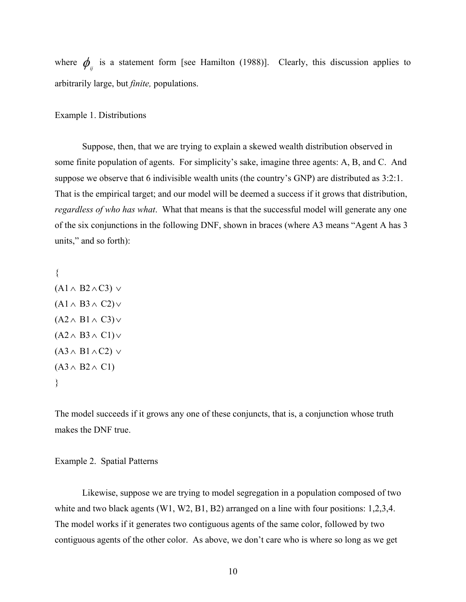where  $\phi_{ij}$  is a statement form [see Hamilton (1988)]. Clearly, this discussion applies to arbitrarily large, but *finite,* populations.

### Example 1. Distributions

Suppose, then, that we are trying to explain a skewed wealth distribution observed in some finite population of agents. For simplicity's sake, imagine three agents: A, B, and C. And suppose we observe that 6 indivisible wealth units (the country's GNP) are distributed as 3:2:1. That is the empirical target; and our model will be deemed a success if it grows that distribution, *regardless of who has what*. What that means is that the successful model will generate any one of the six conjunctions in the following DNF, shown in braces (where A3 means "Agent A has 3 units," and so forth):

{ (A1∧ B2∧C3) ∨ (A1∧ B3∧ C2)∨ (A2∧ B1∧ C3)∨ (A2∧ B3∧ C1)∨ (A3∧ B1∧C2) ∨  $(A3 \wedge B2 \wedge C1)$ }

The model succeeds if it grows any one of these conjuncts, that is, a conjunction whose truth makes the DNF true.

#### Example 2. Spatial Patterns

Likewise, suppose we are trying to model segregation in a population composed of two white and two black agents (W1, W2, B1, B2) arranged on a line with four positions: 1,2,3,4. The model works if it generates two contiguous agents of the same color, followed by two contiguous agents of the other color. As above, we don't care who is where so long as we get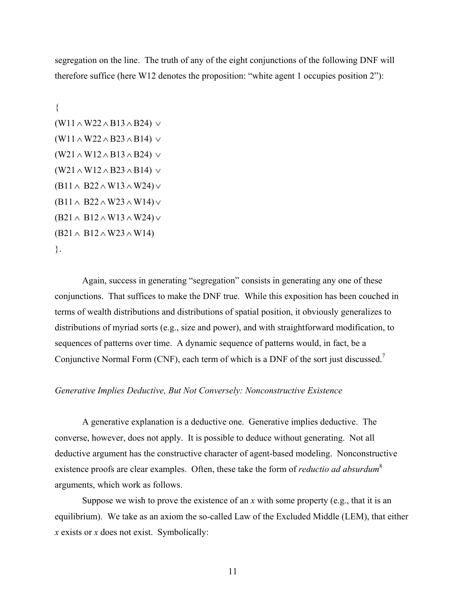segregation on the line. The truth of any of the eight conjunctions of the following DNF will therefore suffice (here W12 denotes the proposition: "white agent 1 occupies position 2"):

{ (W11 ∧ W22 ∧B13 ∧B24) ∨ (W11 ∧ W22 ∧B23 ∧B14) ∨ (W21 ∧ W12 ∧B13 ∧B24) ∨ (W21 ∧ W12 ∧B23 ∧B14) ∨ (B11∧ B22∧ W13 ∧ W24)∨ (B11∧ B22∧ W23 ∧ W14)∨ (B21∧ B12∧ W13 ∧ W24)∨ (B21∧ B12∧ W23 ∧ W14) }.

Again, success in generating "segregation" consists in generating any one of these conjunctions. That suffices to make the DNF true. While this exposition has been couched in terms of wealth distributions and distributions of spatial position, it obviously generalizes to distributions of myriad sorts (e.g., size and power), and with straightforward modification, to sequences of patterns over time. A dynamic sequence of patterns would, in fact, be a Conjunctive Normal Form (CNF), each term of which is a DNF of the sort just discussed.<sup>7</sup>

### *Generative Implies Deductive, But Not Conversely: Nonconstructive Existence*

A generative explanation is a deductive one. Generative implies deductive. The converse, however, does not apply. It is possible to deduce without generating. Not all deductive argument has the constructive character of agent-based modeling. Nonconstructive existence proofs are clear examples. Often, these take the form of *reductio ad absurdum*<sup>8</sup> arguments, which work as follows.

Suppose we wish to prove the existence of an *x* with some property (e.g., that it is an equilibrium). We take as an axiom the so-called Law of the Excluded Middle (LEM), that either *x* exists or *x* does not exist. Symbolically: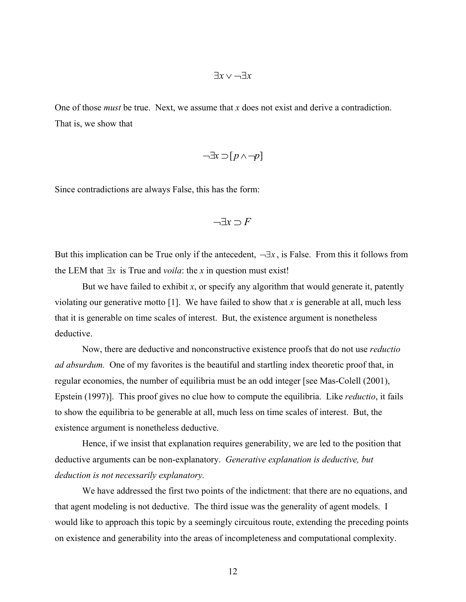One of those *must* be true. Next, we assume that *x* does not exist and derive a contradiction. That is, we show that

$$
\neg \exists x \supset [p \land \neg p]
$$

Since contradictions are always False, this has the form:

$$
\neg \exists x \supset F
$$

But this implication can be True only if the antecedent,  $\neg \exists x$ , is False. From this it follows from the LEM that ∃*x* is True and *voila*: the *x* in question must exist!

But we have failed to exhibit *x*, or specify any algorithm that would generate it, patently violating our generative motto [1]. We have failed to show that *x* is generable at all, much less that it is generable on time scales of interest. But, the existence argument is nonetheless deductive.

Now, there are deductive and nonconstructive existence proofs that do not use *reductio ad absurdum.* One of my favorites is the beautiful and startling index theoretic proof that, in regular economies, the number of equilibria must be an odd integer [see Mas-Colell (2001), Epstein (1997)]. This proof gives no clue how to compute the equilibria. Like *reductio*, it fails to show the equilibria to be generable at all, much less on time scales of interest. But, the existence argument is nonetheless deductive.

Hence, if we insist that explanation requires generability, we are led to the position that deductive arguments can be non-explanatory. *Generative explanation is deductive, but deduction is not necessarily explanatory.*

We have addressed the first two points of the indictment: that there are no equations, and that agent modeling is not deductive. The third issue was the generality of agent models. I would like to approach this topic by a seemingly circuitous route, extending the preceding points on existence and generability into the areas of incompleteness and computational complexity.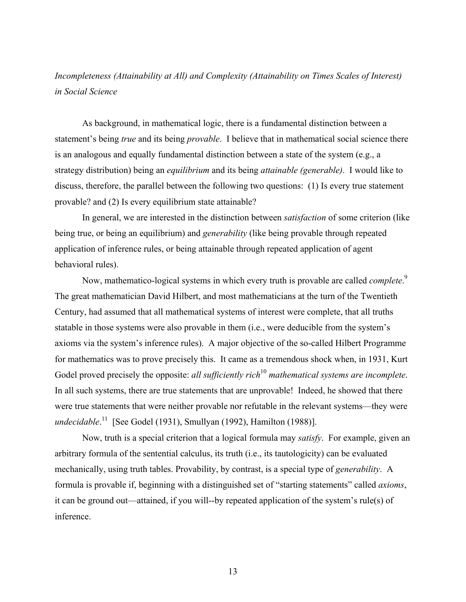*Incompleteness (Attainability at All) and Complexity (Attainability on Times Scales of Interest) in Social Science*

As background, in mathematical logic, there is a fundamental distinction between a statement's being *true* and its being *provable*. I believe that in mathematical social science there is an analogous and equally fundamental distinction between a state of the system (e.g., a strategy distribution) being an *equilibrium* and its being *attainable (generable)*. I would like to discuss, therefore, the parallel between the following two questions: (1) Is every true statement provable? and (2) Is every equilibrium state attainable?

In general, we are interested in the distinction between *satisfaction* of some criterion (like being true, or being an equilibrium) and *generability* (like being provable through repeated application of inference rules, or being attainable through repeated application of agent behavioral rules).

Now, mathematico-logical systems in which every truth is provable are called *complete*. 9 The great mathematician David Hilbert, and most mathematicians at the turn of the Twentieth Century, had assumed that all mathematical systems of interest were complete, that all truths statable in those systems were also provable in them (i.e., were deducible from the system's axioms via the system's inference rules). A major objective of the so-called Hilbert Programme for mathematics was to prove precisely this. It came as a tremendous shock when, in 1931, Kurt Godel proved precisely the opposite: *all sufficiently rich*<sup>10</sup> mathematical systems are incomplete. In all such systems, there are true statements that are unprovable! Indeed, he showed that there were true statements that were neither provable nor refutable in the relevant systems—they were *undecidable*. 11 [See Godel (1931), Smullyan (1992), Hamilton (1988)].

Now, truth is a special criterion that a logical formula may *satisfy*. For example, given an arbitrary formula of the sentential calculus, its truth (i.e., its tautologicity) can be evaluated mechanically, using truth tables. Provability, by contrast, is a special type of *generability*. A formula is provable if, beginning with a distinguished set of "starting statements" called *axioms*, it can be ground out—attained, if you will--by repeated application of the system's rule(s) of inference.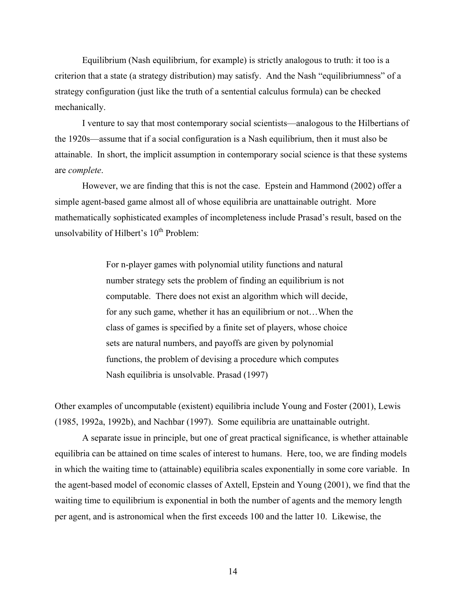Equilibrium (Nash equilibrium, for example) is strictly analogous to truth: it too is a criterion that a state (a strategy distribution) may satisfy. And the Nash "equilibriumness" of a strategy configuration (just like the truth of a sentential calculus formula) can be checked mechanically.

I venture to say that most contemporary social scientists—analogous to the Hilbertians of the 1920s—assume that if a social configuration is a Nash equilibrium, then it must also be attainable. In short, the implicit assumption in contemporary social science is that these systems are *complete*.

However, we are finding that this is not the case. Epstein and Hammond (2002) offer a simple agent-based game almost all of whose equilibria are unattainable outright. More mathematically sophisticated examples of incompleteness include Prasad's result, based on the unsolvability of Hilbert's  $10<sup>th</sup>$  Problem:

> For n-player games with polynomial utility functions and natural number strategy sets the problem of finding an equilibrium is not computable. There does not exist an algorithm which will decide, for any such game, whether it has an equilibrium or not…When the class of games is specified by a finite set of players, whose choice sets are natural numbers, and payoffs are given by polynomial functions, the problem of devising a procedure which computes Nash equilibria is unsolvable. Prasad (1997)

Other examples of uncomputable (existent) equilibria include Young and Foster (2001), Lewis (1985, 1992a, 1992b), and Nachbar (1997). Some equilibria are unattainable outright.

A separate issue in principle, but one of great practical significance, is whether attainable equilibria can be attained on time scales of interest to humans. Here, too, we are finding models in which the waiting time to (attainable) equilibria scales exponentially in some core variable. In the agent-based model of economic classes of Axtell, Epstein and Young (2001), we find that the waiting time to equilibrium is exponential in both the number of agents and the memory length per agent, and is astronomical when the first exceeds 100 and the latter 10. Likewise, the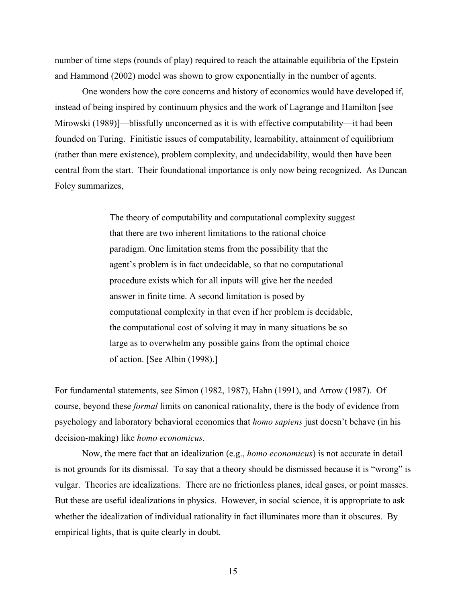number of time steps (rounds of play) required to reach the attainable equilibria of the Epstein and Hammond (2002) model was shown to grow exponentially in the number of agents.

One wonders how the core concerns and history of economics would have developed if, instead of being inspired by continuum physics and the work of Lagrange and Hamilton [see Mirowski (1989)]—blissfully unconcerned as it is with effective computability—it had been founded on Turing. Finitistic issues of computability, learnability, attainment of equilibrium (rather than mere existence), problem complexity, and undecidability, would then have been central from the start. Their foundational importance is only now being recognized. As Duncan Foley summarizes,

> The theory of computability and computational complexity suggest that there are two inherent limitations to the rational choice paradigm. One limitation stems from the possibility that the agent's problem is in fact undecidable, so that no computational procedure exists which for all inputs will give her the needed answer in finite time. A second limitation is posed by computational complexity in that even if her problem is decidable, the computational cost of solving it may in many situations be so large as to overwhelm any possible gains from the optimal choice of action. [See Albin (1998).]

For fundamental statements, see Simon (1982, 1987), Hahn (1991), and Arrow (1987). Of course, beyond these *formal* limits on canonical rationality, there is the body of evidence from psychology and laboratory behavioral economics that *homo sapiens* just doesn't behave (in his decision-making) like *homo economicus*.

Now, the mere fact that an idealization (e.g., *homo economicus*) is not accurate in detail is not grounds for its dismissal. To say that a theory should be dismissed because it is "wrong" is vulgar. Theories are idealizations. There are no frictionless planes, ideal gases, or point masses. But these are useful idealizations in physics. However, in social science, it is appropriate to ask whether the idealization of individual rationality in fact illuminates more than it obscures. By empirical lights, that is quite clearly in doubt.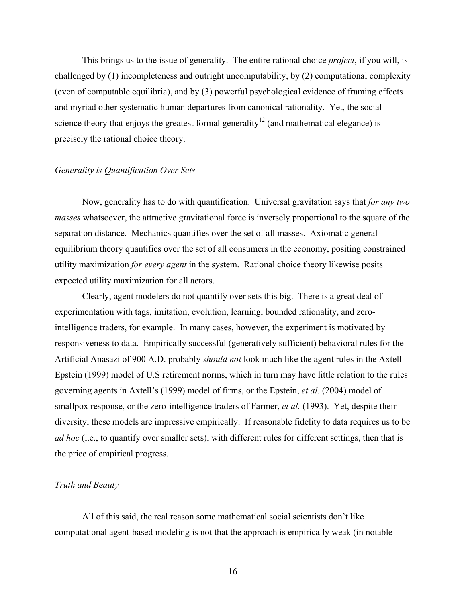This brings us to the issue of generality. The entire rational choice *project*, if you will, is challenged by (1) incompleteness and outright uncomputability, by (2) computational complexity (even of computable equilibria), and by (3) powerful psychological evidence of framing effects and myriad other systematic human departures from canonical rationality. Yet, the social science theory that enjoys the greatest formal generality<sup>12</sup> (and mathematical elegance) is precisely the rational choice theory.

## *Generality is Quantification Over Sets*

Now, generality has to do with quantification. Universal gravitation says that *for any two masses* whatsoever, the attractive gravitational force is inversely proportional to the square of the separation distance. Mechanics quantifies over the set of all masses. Axiomatic general equilibrium theory quantifies over the set of all consumers in the economy, positing constrained utility maximization *for every agent* in the system. Rational choice theory likewise posits expected utility maximization for all actors.

Clearly, agent modelers do not quantify over sets this big. There is a great deal of experimentation with tags, imitation, evolution, learning, bounded rationality, and zerointelligence traders, for example. In many cases, however, the experiment is motivated by responsiveness to data. Empirically successful (generatively sufficient) behavioral rules for the Artificial Anasazi of 900 A.D. probably *should not* look much like the agent rules in the Axtell-Epstein (1999) model of U.S retirement norms, which in turn may have little relation to the rules governing agents in Axtell's (1999) model of firms, or the Epstein, *et al.* (2004) model of smallpox response, or the zero-intelligence traders of Farmer, *et al.* (1993). Yet, despite their diversity, these models are impressive empirically. If reasonable fidelity to data requires us to be *ad hoc* (i.e., to quantify over smaller sets), with different rules for different settings, then that is the price of empirical progress.

# *Truth and Beauty*

All of this said, the real reason some mathematical social scientists don't like computational agent-based modeling is not that the approach is empirically weak (in notable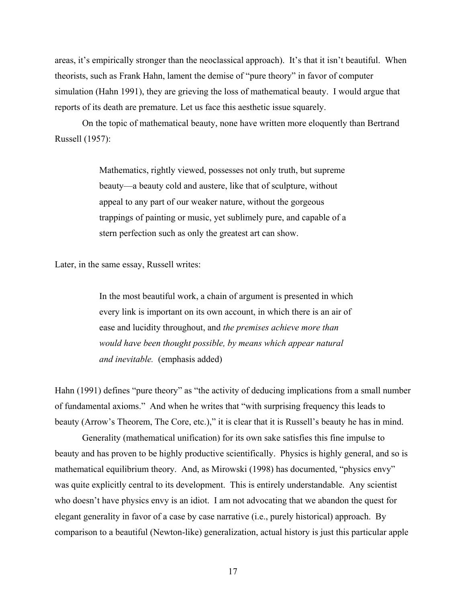areas, it's empirically stronger than the neoclassical approach). It's that it isn't beautiful. When theorists, such as Frank Hahn, lament the demise of "pure theory" in favor of computer simulation (Hahn 1991), they are grieving the loss of mathematical beauty. I would argue that reports of its death are premature. Let us face this aesthetic issue squarely.

On the topic of mathematical beauty, none have written more eloquently than Bertrand Russell (1957):

> Mathematics, rightly viewed, possesses not only truth, but supreme beauty—a beauty cold and austere, like that of sculpture, without appeal to any part of our weaker nature, without the gorgeous trappings of painting or music, yet sublimely pure, and capable of a stern perfection such as only the greatest art can show.

Later, in the same essay, Russell writes:

In the most beautiful work, a chain of argument is presented in which every link is important on its own account, in which there is an air of ease and lucidity throughout, and *the premises achieve more than would have been thought possible, by means which appear natural and inevitable.* (emphasis added)

Hahn (1991) defines "pure theory" as "the activity of deducing implications from a small number of fundamental axioms." And when he writes that "with surprising frequency this leads to beauty (Arrow's Theorem, The Core, etc.)," it is clear that it is Russell's beauty he has in mind.

Generality (mathematical unification) for its own sake satisfies this fine impulse to beauty and has proven to be highly productive scientifically. Physics is highly general, and so is mathematical equilibrium theory. And, as Mirowski (1998) has documented, "physics envy" was quite explicitly central to its development. This is entirely understandable. Any scientist who doesn't have physics envy is an idiot. I am not advocating that we abandon the quest for elegant generality in favor of a case by case narrative (i.e., purely historical) approach. By comparison to a beautiful (Newton-like) generalization, actual history is just this particular apple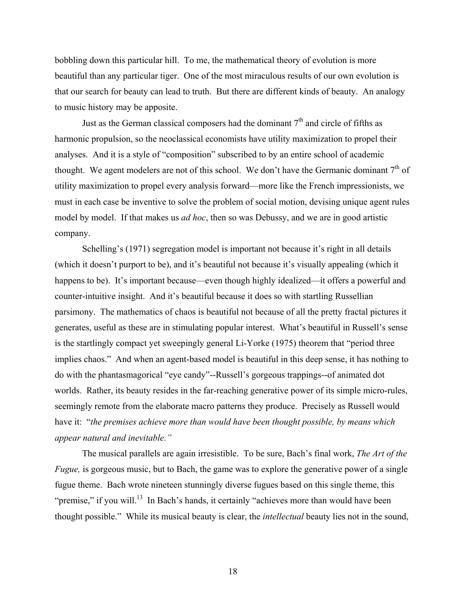bobbling down this particular hill. To me, the mathematical theory of evolution is more beautiful than any particular tiger. One of the most miraculous results of our own evolution is that our search for beauty can lead to truth. But there are different kinds of beauty. An analogy to music history may be apposite.

Just as the German classical composers had the dominant  $7<sup>th</sup>$  and circle of fifths as harmonic propulsion, so the neoclassical economists have utility maximization to propel their analyses. And it is a style of "composition" subscribed to by an entire school of academic thought. We agent modelers are not of this school. We don't have the Germanic dominant  $7<sup>th</sup>$  of utility maximization to propel every analysis forward—more like the French impressionists, we must in each case be inventive to solve the problem of social motion, devising unique agent rules model by model. If that makes us *ad hoc*, then so was Debussy, and we are in good artistic company.

Schelling's (1971) segregation model is important not because it's right in all details (which it doesn't purport to be), and it's beautiful not because it's visually appealing (which it happens to be). It's important because—even though highly idealized—it offers a powerful and counter-intuitive insight. And it's beautiful because it does so with startling Russellian parsimony. The mathematics of chaos is beautiful not because of all the pretty fractal pictures it generates, useful as these are in stimulating popular interest. What's beautiful in Russell's sense is the startlingly compact yet sweepingly general Li-Yorke (1975) theorem that "period three implies chaos." And when an agent-based model is beautiful in this deep sense, it has nothing to do with the phantasmagorical "eye candy"--Russell's gorgeous trappings--of animated dot worlds. Rather, its beauty resides in the far-reaching generative power of its simple micro-rules, seemingly remote from the elaborate macro patterns they produce. Precisely as Russell would have it: "*the premises achieve more than would have been thought possible, by means which appear natural and inevitable."*

The musical parallels are again irresistible. To be sure, Bach's final work, *The Art of the Fugue,* is gorgeous music, but to Bach, the game was to explore the generative power of a single fugue theme. Bach wrote nineteen stunningly diverse fugues based on this single theme, this "premise," if you will,<sup>13</sup> In Bach's hands, it certainly "achieves more than would have been thought possible." While its musical beauty is clear, the *intellectual* beauty lies not in the sound,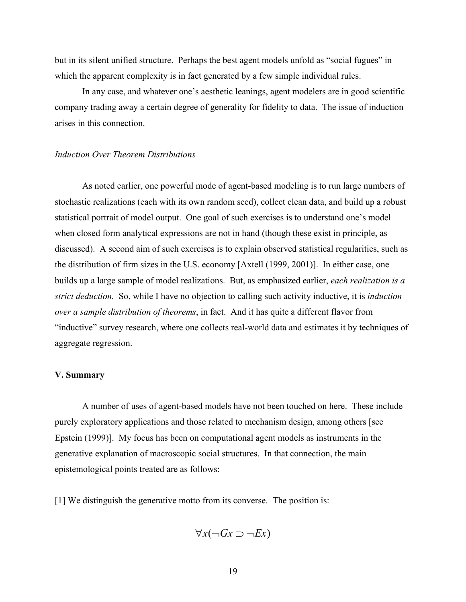but in its silent unified structure. Perhaps the best agent models unfold as "social fugues" in which the apparent complexity is in fact generated by a few simple individual rules.

In any case, and whatever one's aesthetic leanings, agent modelers are in good scientific company trading away a certain degree of generality for fidelity to data. The issue of induction arises in this connection.

### *Induction Over Theorem Distributions*

As noted earlier, one powerful mode of agent-based modeling is to run large numbers of stochastic realizations (each with its own random seed), collect clean data, and build up a robust statistical portrait of model output. One goal of such exercises is to understand one's model when closed form analytical expressions are not in hand (though these exist in principle, as discussed). A second aim of such exercises is to explain observed statistical regularities, such as the distribution of firm sizes in the U.S. economy [Axtell (1999, 2001)]. In either case, one builds up a large sample of model realizations. But, as emphasized earlier, *each realization is a strict deduction.* So, while I have no objection to calling such activity inductive, it is *induction over a sample distribution of theorems*, in fact. And it has quite a different flavor from "inductive" survey research, where one collects real-world data and estimates it by techniques of aggregate regression.

#### **V. Summary**

A number of uses of agent-based models have not been touched on here. These include purely exploratory applications and those related to mechanism design, among others [see Epstein (1999)]. My focus has been on computational agent models as instruments in the generative explanation of macroscopic social structures. In that connection, the main epistemological points treated are as follows:

[1] We distinguish the generative motto from its converse. The position is:

$$
\forall x(\neg Gx \supset \neg Ex)
$$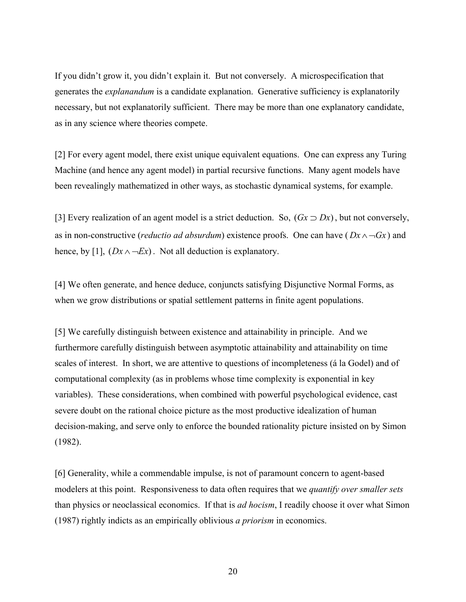If you didn't grow it, you didn't explain it. But not conversely. A microspecification that generates the *explanandum* is a candidate explanation. Generative sufficiency is explanatorily necessary, but not explanatorily sufficient. There may be more than one explanatory candidate, as in any science where theories compete.

[2] For every agent model, there exist unique equivalent equations. One can express any Turing Machine (and hence any agent model) in partial recursive functions. Many agent models have been revealingly mathematized in other ways, as stochastic dynamical systems, for example.

[3] Every realization of an agent model is a strict deduction. So,  $(Gx \supset Dx)$ , but not conversely, as in non-constructive (*reductio ad absurdum*) existence proofs. One can have ( $Dx \wedge \neg Gx$ ) and hence, by [1],  $(Dx \wedge \neg Ex)$ . Not all deduction is explanatory.

[4] We often generate, and hence deduce, conjuncts satisfying Disjunctive Normal Forms, as when we grow distributions or spatial settlement patterns in finite agent populations.

[5] We carefully distinguish between existence and attainability in principle. And we furthermore carefully distinguish between asymptotic attainability and attainability on time scales of interest. In short, we are attentive to questions of incompleteness (á la Godel) and of computational complexity (as in problems whose time complexity is exponential in key variables). These considerations, when combined with powerful psychological evidence, cast severe doubt on the rational choice picture as the most productive idealization of human decision-making, and serve only to enforce the bounded rationality picture insisted on by Simon (1982).

[6] Generality, while a commendable impulse, is not of paramount concern to agent-based modelers at this point. Responsiveness to data often requires that we *quantify over smaller sets* than physics or neoclassical economics. If that is *ad hocism*, I readily choose it over what Simon (1987) rightly indicts as an empirically oblivious *a priorism* in economics.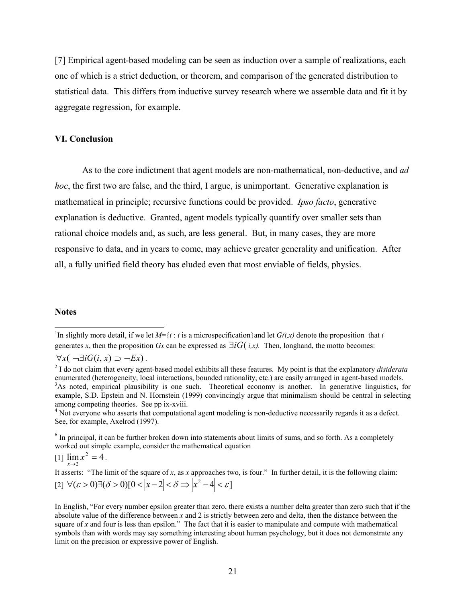[7] Empirical agent-based modeling can be seen as induction over a sample of realizations, each one of which is a strict deduction, or theorem, and comparison of the generated distribution to statistical data. This differs from inductive survey research where we assemble data and fit it by aggregate regression, for example.

### **VI. Conclusion**

As to the core indictment that agent models are non-mathematical, non-deductive, and *ad hoc*, the first two are false, and the third, I argue, is unimportant. Generative explanation is mathematical in principle; recursive functions could be provided. *Ipso facto*, generative explanation is deductive. Granted, agent models typically quantify over smaller sets than rational choice models and, as such, are less general. But, in many cases, they are more responsive to data, and in years to come, may achieve greater generality and unification. After all, a fully unified field theory has eluded even that most enviable of fields, physics.

### **Notes**

 $\overline{a}$ 

 $\forall x$ ( ¬∃*iG*(*i*, *x*) ⊃ ¬*Ex*).

[1] 
$$
\lim_{x \to 2} x^2 = 4
$$
.

It asserts: "The limit of the square of *x*, as *x* approaches two, is four." In further detail, it is the following claim:  $[2] \ \forall (\varepsilon > 0) \exists (\delta > 0)[0 < |x - 2| < \delta \Rightarrow |x^2 - 4| < \varepsilon]$ 

<sup>&</sup>lt;sup>1</sup>In slightly more detail, if we let  $M=\{i : i \text{ is a microscopicification}\}\$ and let  $G(i,x)$  denote the proposition that *i* generates *x*, then the proposition *Gx* can be expressed as  $\exists iG(i,x)$ . Then, longhand, the motto becomes:

<sup>2</sup> I do not claim that every agent-based model exhibits all these features. My point is that the explanatory *disiderata* enumerated (heterogeneity, local interactions, bounded rationality, etc.) are easily arranged in agent-based models. <sup>3</sup> <sup>3</sup>As noted, empirical plausibility is one such. Theoretical economy is another. In generative linguistics, for example, S.D. Epstein and N. Hornstein (1999) convincingly argue that minimalism should be central in selecting among competing theories. See pp ix-xviii.

<sup>&</sup>lt;sup>4</sup> Not everyone who asserts that computational agent modeling is non-deductive necessarily regards it as a defect. See, for example, Axelrod (1997).

 $<sup>6</sup>$  In principal, it can be further broken down into statements about limits of sums, and so forth. As a completely</sup> worked out simple example, consider the mathematical equation

In English, "For every number epsilon greater than zero, there exists a number delta greater than zero such that if the absolute value of the difference between *x* and 2 is strictly between zero and delta, then the distance between the square of x and four is less than epsilon." The fact that it is easier to manipulate and compute with mathematical symbols than with words may say something interesting about human psychology, but it does not demonstrate any limit on the precision or expressive power of English.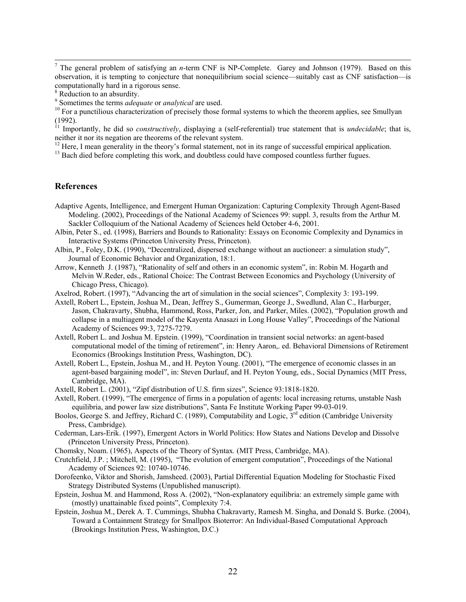7 <sup>7</sup> The general problem of satisfying an *n*-term CNF is NP-Complete. Garey and Johnson (1979). Based on this observation, it is tempting to conjecture that nonequilibrium social science—suitably cast as CNF satisfaction—is computationally hard in a rigorous sense.

<sup>10</sup> For a punctilious characterization of precisely those formal systems to which the theorem applies, see Smullyan  $(1992)$ .

11 Importantly, he did so *constructively*, displaying a (self-referential) true statement that is *undecidable*; that is, neither it nor its negation are theorems of the relevant system.

<sup>12</sup> Here, I mean generality in the theory's formal statement, not in its range of successful empirical application. <sup>13</sup> Bach died before completing this work, and doubtless could have composed countless further fugues.

# **References**

- Adaptive Agents, Intelligence, and Emergent Human Organization: Capturing Complexity Through Agent-Based Modeling. (2002), Proceedings of the National Academy of Sciences 99: suppl. 3, results from the Arthur M. Sackler Colloquium of the National Academy of Sciences held October 4-6, 2001.
- Albin, Peter S., ed. (1998), Barriers and Bounds to Rationality: Essays on Economic Complexity and Dynamics in Interactive Systems (Princeton University Press, Princeton).

Albin, P., Foley, D.K. (1990), "Decentralized, dispersed exchange without an auctioneer: a simulation study", Journal of Economic Behavior and Organization, 18:1.

Arrow, Kenneth J. (1987), "Rationality of self and others in an economic system", in: Robin M. Hogarth and Melvin W.Reder, eds., Rational Choice: The Contrast Between Economics and Psychology (University of Chicago Press, Chicago).

Axelrod, Robert. (1997), "Advancing the art of simulation in the social sciences", Complexity 3: 193-199.

- Axtell, Robert L., Epstein, Joshua M., Dean, Jeffrey S., Gumerman, George J., Swedlund, Alan C., Harburger, Jason, Chakravarty, Shubha, Hammond, Ross, Parker, Jon, and Parker, Miles. (2002), "Population growth and collapse in a multiagent model of the Kayenta Anasazi in Long House Valley", Proceedings of the National Academy of Sciences 99:3, 7275-7279.
- Axtell, Robert L. and Joshua M. Epstein. (1999), "Coordination in transient social networks: an agent-based computational model of the timing of retirement", in: Henry Aaron,. ed. Behavioral Dimensions of Retirement Economics (Brookings Institution Press, Washington, DC).
- Axtell, Robert L., Epstein, Joshua M., and H. Peyton Young. (2001), "The emergence of economic classes in an agent-based bargaining model", in: Steven Durlauf, and H. Peyton Young, eds., Social Dynamics (MIT Press, Cambridge, MA).
- Axtell, Robert L. (2001), "Zipf distribution of U.S. firm sizes", Science 93:1818-1820.
- Axtell, Robert. (1999), "The emergence of firms in a population of agents: local increasing returns, unstable Nash equilibria, and power law size distributions", Santa Fe Institute Working Paper 99-03-019.
- Boolos, George S. and Jeffrey, Richard C. (1989), Computability and Logic, 3rd edition (Cambridge University Press, Cambridge).
- Cederman, Lars-Erik. (1997), Emergent Actors in World Politics: How States and Nations Develop and Dissolve (Princeton University Press, Princeton).
- Chomsky, Noam. (1965), Aspects of the Theory of Syntax*.* (MIT Press, Cambridge, MA).

Crutchfield, J.P. ; Mitchell, M. (1995), "The evolution of emergent computation", Proceedings of the National Academy of Sciences 92: 10740-10746.

Dorofeenko, Viktor and Shorish, Jamsheed. (2003), Partial Differential Equation Modeling for Stochastic Fixed Strategy Distributed Systems (Unpublished manuscript).

- Epstein, Joshua M. and Hammond, Ross A. (2002), "Non-explanatory equilibria: an extremely simple game with (mostly) unattainable fixed points", Complexity 7:4.
- Epstein, Joshua M., Derek A. T. Cummings, Shubha Chakravarty, Ramesh M. Singha, and Donald S. Burke. (2004), Toward a Containment Strategy for Smallpox Bioterror: An Individual-Based Computational Approach (Brookings Institution Press, Washington, D.C.)

<sup>&</sup>lt;sup>8</sup> Reduction to an absurdity.

<sup>&</sup>lt;sup>9</sup> Sometimes the terms *adequate* or *analytical* are used.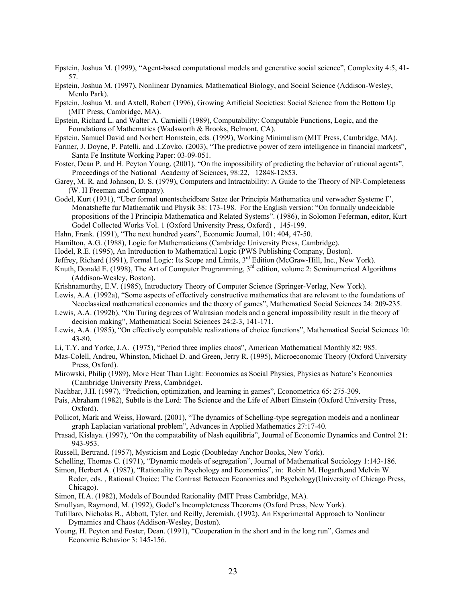- Epstein, Joshua M. (1999), "Agent-based computational models and generative social science", Complexity 4:5, 41- 57.
- Epstein, Joshua M. (1997), Nonlinear Dynamics, Mathematical Biology, and Social Science (Addison-Wesley, Menlo Park).
- Epstein, Joshua M. and Axtell, Robert (1996), Growing Artificial Societies: Social Science from the Bottom Up (MIT Press, Cambridge, MA).
- Epstein, Richard L. and Walter A. Carnielli (1989), Computability: Computable Functions, Logic, and the Foundations of Mathematics (Wadsworth & Brooks, Belmont, CA).
- Epstein, Samuel David and Norbert Hornstein, eds. (1999), Working Minimalism (MIT Press, Cambridge, MA).
- Farmer, J. Doyne, P. Patelli, and .I.Zovko. (2003), "The predictive power of zero intelligence in financial markets", Santa Fe Institute Working Paper: 03-09-051.
- Foster, Dean P. and H. Peyton Young. (2001), "On the impossibility of predicting the behavior of rational agents", Proceedings of the National Academy of Sciences, 98:22, 12848-12853.
- Garey, M. R. and Johnson, D. S. (1979), Computers and Intractability: A Guide to the Theory of NP-Completeness (W. H Freeman and Company).
- Godel, Kurt (1931), "Uber formal unentscheidbare Satze der Principia Mathematica und verwadter Systeme I", Monatshefte fur Mathematik und Physik 38: 173-198. For the English version: "On formally undecidable propositions of the I Principia Mathematica and Related Systems". (1986), in Solomon Feferman, editor, Kurt Godel Collected Works Vol. 1 (Oxford University Press, Oxford) , 145-199.
- Hahn, Frank. (1991), "The next hundred years", Economic Journal, 101: 404, 47-50.

 $\overline{a}$ 

- Hamilton, A.G. (1988), Logic for Mathematicians (Cambridge University Press, Cambridge).
- Hodel, R.E. (1995), An Introduction to Mathematical Logic (PWS Publishing Company, Boston).
- Jeffrey, Richard (1991), Formal Logic: Its Scope and Limits, 3<sup>rd</sup> Edition (McGraw-Hill, Inc., New York).

Knuth, Donald E. (1998), The Art of Computer Programming, 3<sup>rd</sup> edition, volume 2: Seminumerical Algorithms (Addison-Wesley, Boston).

- Krishnamurthy, E.V. (1985), Introductory Theory of Computer Science (Springer-Verlag, New York).
- Lewis, A.A. (1992a), "Some aspects of effectively constructive mathematics that are relevant to the foundations of Neoclassical mathematical economics and the theory of games", Mathematical Social Sciences 24: 209-235.
- Lewis, A.A. (1992b), "On Turing degrees of Walrasian models and a general impossibility result in the theory of decision making", Mathematical Social Sciences 24:2-3, 141-171.
- Lewis, A.A. (1985), "On effectively computable realizations of choice functions", Mathematical Social Sciences 10: 43-80.
- Li, T.Y. and Yorke, J.A. (1975), "Period three implies chaos", American Mathematical Monthly 82: 985.
- Mas-Colell, Andreu, Whinston, Michael D. and Green, Jerry R. (1995), Microeconomic Theory (Oxford University Press, Oxford).
- Mirowski, Philip (1989), More Heat Than Light: Economics as Social Physics, Physics as Nature's Economics (Cambridge University Press, Cambridge).
- Nachbar, J.H. (1997), "Prediction, optimization, and learning in games", Econometrica 65: 275-309.
- Pais, Abraham (1982), Subtle is the Lord: The Science and the Life of Albert Einstein (Oxford University Press, Oxford).
- Pollicot, Mark and Weiss, Howard. (2001), "The dynamics of Schelling-type segregation models and a nonlinear graph Laplacian variational problem", Advances in Applied Mathematics 27:17-40.
- Prasad, Kislaya. (1997), "On the compatability of Nash equilibria", Journal of Economic Dynamics and Control 21: 943-953.
- Russell, Bertrand. (1957), Mysticism and Logic (Doubleday Anchor Books, New York).
- Schelling, Thomas C. (1971), "Dynamic models of segregation", Journal of Mathematical Sociology 1:143-186.

Simon, Herbert A. (1987), "Rationality in Psychology and Economics", in: Robin M. Hogarth,and Melvin W. Reder, eds. , Rational Choice: The Contrast Between Economics and Psychology(University of Chicago Press, Chicago).

- Simon, H.A. (1982), Models of Bounded Rationality (MIT Press Cambridge, MA).
- Smullyan, Raymond, M. (1992), Godel's Incompleteness Theorems (Oxford Press, New York).

Tufillaro, Nicholas B., Abbott, Tyler, and Reilly, Jeremiah. (1992), An Experimental Approach to Nonlinear Dymamics and Chaos (Addison-Wesley, Boston).

Young, H. Peyton and Foster, Dean. (1991), "Cooperation in the short and in the long run", Games and Economic Behavio*r* 3: 145-156.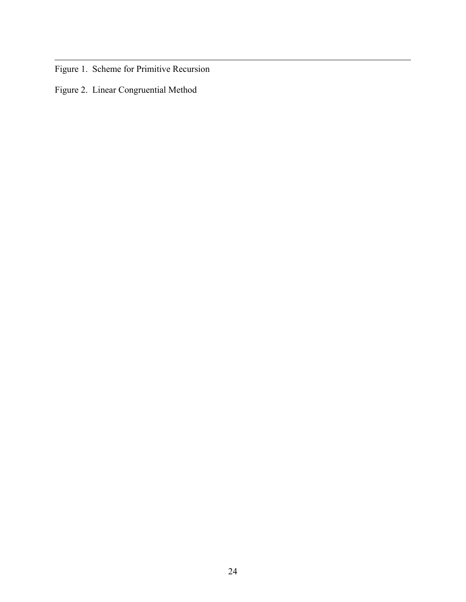Figure 1. Scheme for Primitive Recursion

Figure 2. Linear Congruential Method

 $\overline{a}$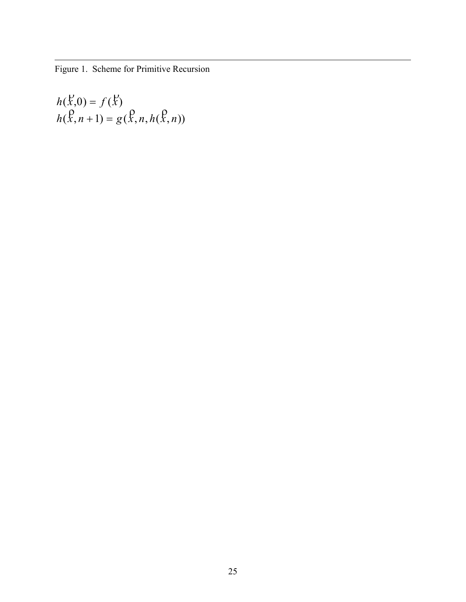Figure 1. Scheme for Primitive Recursion

$$
h(\mathbf{x}, 0) = f(\mathbf{x})
$$
  
 
$$
h(\mathbf{x}, n+1) = g(\mathbf{x}, n, h(\mathbf{x}, n))
$$

 $\overline{a}$